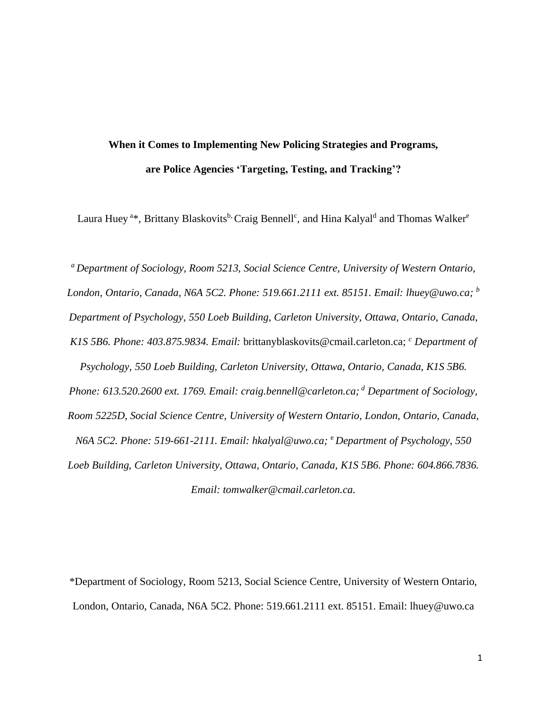# **When it Comes to Implementing New Policing Strategies and Programs, are Police Agencies 'Targeting, Testing, and Tracking'?**

Laura Huey<sup>a\*</sup>, Brittany Blaskovits<sup>b,</sup> Craig Bennell<sup>c</sup>, and Hina Kalyal<sup>d</sup> and Thomas Walker<sup>e</sup>

*<sup>a</sup> Department of Sociology, Room 5213, Social Science Centre, University of Western Ontario, London, Ontario, Canada, N6A 5C2. Phone: 519.661.2111 ext. 85151. Email: lhuey@uwo.ca; b Department of Psychology, 550 Loeb Building, Carleton University, Ottawa, Ontario, Canada, K1S 5B6. Phone: 403.875.9834. Email:* brittanyblaskovits@cmail.carleton.ca; *<sup>c</sup> Department of Psychology, 550 Loeb Building, Carleton University, Ottawa, Ontario, Canada, K1S 5B6. Phone: 613.520.2600 ext. 1769. Email: craig.bennell@carleton.ca; <sup>d</sup> Department of Sociology, Room 5225D, Social Science Centre, University of Western Ontario, London, Ontario, Canada, N6A 5C2. Phone: 519-661-2111. Email: hkalyal@uwo.ca;* <sup>e</sup> *Department of Psychology, 550 Loeb Building, Carleton University, Ottawa, Ontario, Canada, K1S 5B6. Phone: 604.866.7836. Email: tomwalker@cmail.carleton.ca.*

\*Department of Sociology, Room 5213, Social Science Centre, University of Western Ontario, London, Ontario, Canada, N6A 5C2. Phone: 519.661.2111 ext. 85151. Email: lhuey@uwo.ca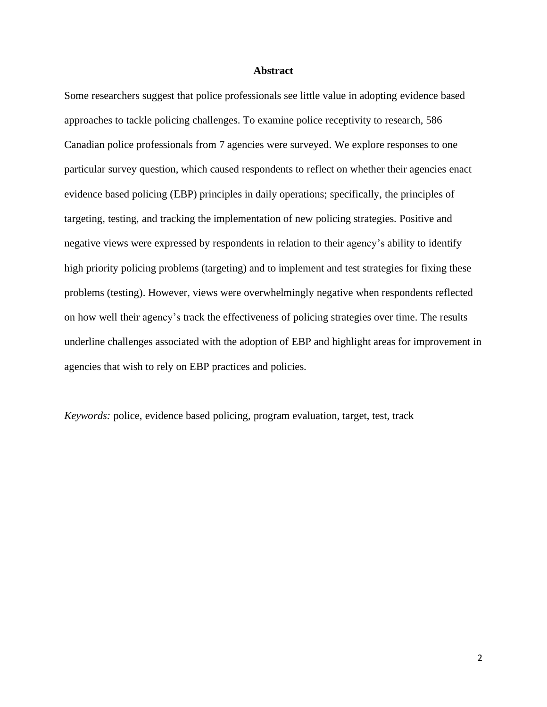## **Abstract**

Some researchers suggest that police professionals see little value in adopting evidence based approaches to tackle policing challenges. To examine police receptivity to research, 586 Canadian police professionals from 7 agencies were surveyed. We explore responses to one particular survey question, which caused respondents to reflect on whether their agencies enact evidence based policing (EBP) principles in daily operations; specifically, the principles of targeting, testing, and tracking the implementation of new policing strategies. Positive and negative views were expressed by respondents in relation to their agency's ability to identify high priority policing problems (targeting) and to implement and test strategies for fixing these problems (testing). However, views were overwhelmingly negative when respondents reflected on how well their agency's track the effectiveness of policing strategies over time. The results underline challenges associated with the adoption of EBP and highlight areas for improvement in agencies that wish to rely on EBP practices and policies.

*Keywords:* police, evidence based policing, program evaluation, target, test, track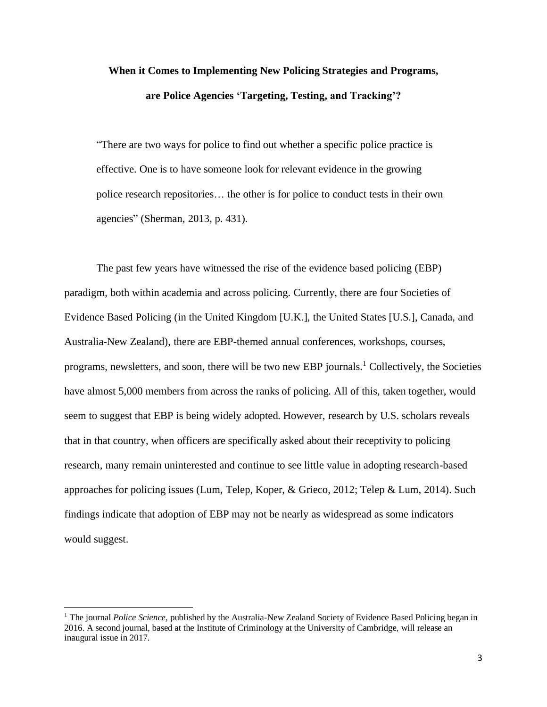## **When it Comes to Implementing New Policing Strategies and Programs, are Police Agencies 'Targeting, Testing, and Tracking'?**

"There are two ways for police to find out whether a specific police practice is effective. One is to have someone look for relevant evidence in the growing police research repositories… the other is for police to conduct tests in their own agencies" (Sherman, 2013, p. 431).

The past few years have witnessed the rise of the evidence based policing (EBP) paradigm, both within academia and across policing. Currently, there are four Societies of Evidence Based Policing (in the United Kingdom [U.K.], the United States [U.S.], Canada, and Australia-New Zealand), there are EBP-themed annual conferences, workshops, courses, programs, newsletters, and soon, there will be two new EBP journals.<sup>1</sup> Collectively, the Societies have almost 5,000 members from across the ranks of policing. All of this, taken together, would seem to suggest that EBP is being widely adopted. However, research by U.S. scholars reveals that in that country, when officers are specifically asked about their receptivity to policing research, many remain uninterested and continue to see little value in adopting research-based approaches for policing issues (Lum, Telep, Koper, & Grieco, 2012; Telep & Lum, 2014). Such findings indicate that adoption of EBP may not be nearly as widespread as some indicators would suggest.

<sup>1</sup> The journal *Police Science*, published by the Australia-New Zealand Society of Evidence Based Policing began in 2016. A second journal, based at the Institute of Criminology at the University of Cambridge, will release an inaugural issue in 2017.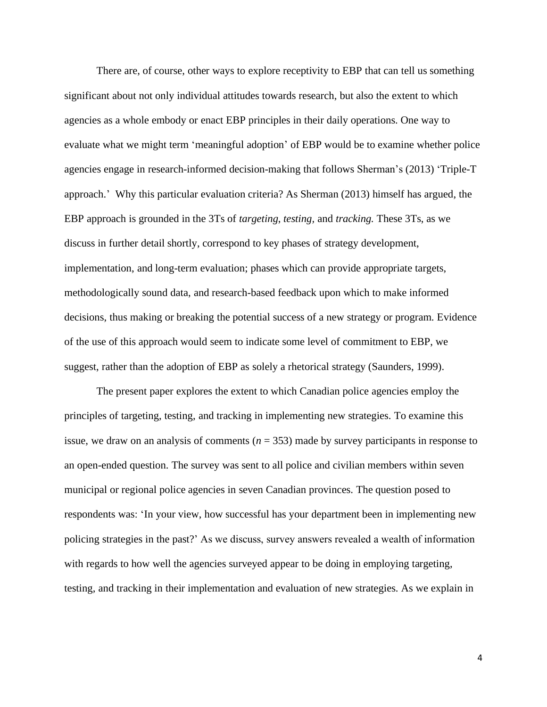There are, of course, other ways to explore receptivity to EBP that can tell us something significant about not only individual attitudes towards research, but also the extent to which agencies as a whole embody or enact EBP principles in their daily operations. One way to evaluate what we might term 'meaningful adoption' of EBP would be to examine whether police agencies engage in research-informed decision-making that follows Sherman's (2013) 'Triple-T approach.' Why this particular evaluation criteria? As Sherman (2013) himself has argued, the EBP approach is grounded in the 3Ts of *targeting*, *testing,* and *tracking.* These 3Ts, as we discuss in further detail shortly, correspond to key phases of strategy development, implementation, and long-term evaluation; phases which can provide appropriate targets, methodologically sound data, and research-based feedback upon which to make informed decisions, thus making or breaking the potential success of a new strategy or program. Evidence of the use of this approach would seem to indicate some level of commitment to EBP, we suggest, rather than the adoption of EBP as solely a rhetorical strategy (Saunders, 1999).

The present paper explores the extent to which Canadian police agencies employ the principles of targeting, testing, and tracking in implementing new strategies. To examine this issue, we draw on an analysis of comments  $(n = 353)$  made by survey participants in response to an open-ended question. The survey was sent to all police and civilian members within seven municipal or regional police agencies in seven Canadian provinces. The question posed to respondents was: 'In your view, how successful has your department been in implementing new policing strategies in the past?' As we discuss, survey answers revealed a wealth of information with regards to how well the agencies surveyed appear to be doing in employing targeting, testing, and tracking in their implementation and evaluation of new strategies. As we explain in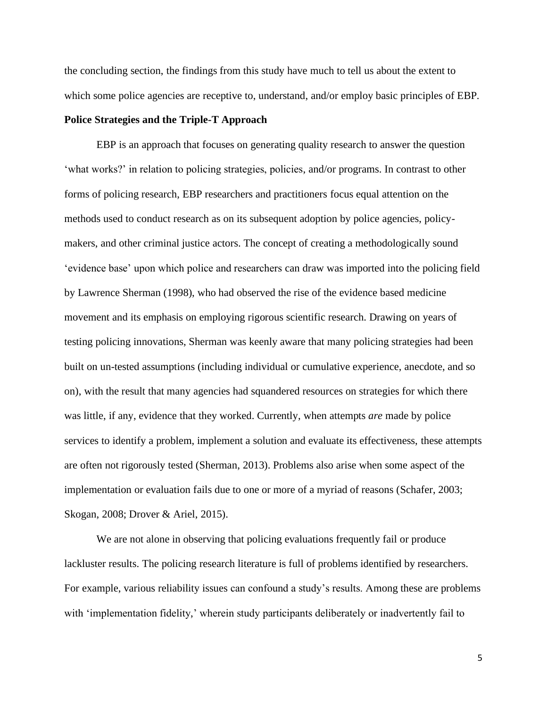the concluding section, the findings from this study have much to tell us about the extent to which some police agencies are receptive to, understand, and/or employ basic principles of EBP.

## **Police Strategies and the Triple-T Approach**

EBP is an approach that focuses on generating quality research to answer the question 'what works?' in relation to policing strategies, policies, and/or programs. In contrast to other forms of policing research, EBP researchers and practitioners focus equal attention on the methods used to conduct research as on its subsequent adoption by police agencies, policymakers, and other criminal justice actors. The concept of creating a methodologically sound 'evidence base' upon which police and researchers can draw was imported into the policing field by Lawrence Sherman (1998), who had observed the rise of the evidence based medicine movement and its emphasis on employing rigorous scientific research. Drawing on years of testing policing innovations, Sherman was keenly aware that many policing strategies had been built on un-tested assumptions (including individual or cumulative experience, anecdote, and so on), with the result that many agencies had squandered resources on strategies for which there was little, if any, evidence that they worked. Currently, when attempts *are* made by police services to identify a problem, implement a solution and evaluate its effectiveness, these attempts are often not rigorously tested (Sherman, 2013). Problems also arise when some aspect of the implementation or evaluation fails due to one or more of a myriad of reasons (Schafer, 2003; Skogan, 2008; Drover & Ariel, 2015).

We are not alone in observing that policing evaluations frequently fail or produce lackluster results. The policing research literature is full of problems identified by researchers. For example, various reliability issues can confound a study's results. Among these are problems with 'implementation fidelity,' wherein study participants deliberately or inadvertently fail to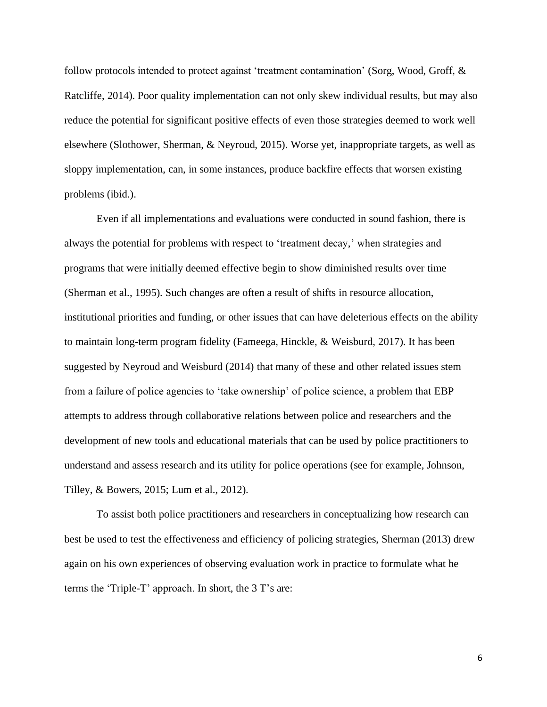follow protocols intended to protect against 'treatment contamination' (Sorg, Wood, Groff, & Ratcliffe, 2014). Poor quality implementation can not only skew individual results, but may also reduce the potential for significant positive effects of even those strategies deemed to work well elsewhere (Slothower, Sherman, & Neyroud, 2015). Worse yet, inappropriate targets, as well as sloppy implementation, can, in some instances, produce backfire effects that worsen existing problems (ibid.).

Even if all implementations and evaluations were conducted in sound fashion, there is always the potential for problems with respect to 'treatment decay,' when strategies and programs that were initially deemed effective begin to show diminished results over time (Sherman et al., 1995). Such changes are often a result of shifts in resource allocation, institutional priorities and funding, or other issues that can have deleterious effects on the ability to maintain long-term program fidelity (Fameega, Hinckle, & Weisburd, 2017). It has been suggested by Neyroud and Weisburd (2014) that many of these and other related issues stem from a failure of police agencies to 'take ownership' of police science, a problem that EBP attempts to address through collaborative relations between police and researchers and the development of new tools and educational materials that can be used by police practitioners to understand and assess research and its utility for police operations (see for example, Johnson, Tilley, & Bowers, 2015; Lum et al., 2012).

To assist both police practitioners and researchers in conceptualizing how research can best be used to test the effectiveness and efficiency of policing strategies, Sherman (2013) drew again on his own experiences of observing evaluation work in practice to formulate what he terms the 'Triple-T' approach. In short, the 3 T's are: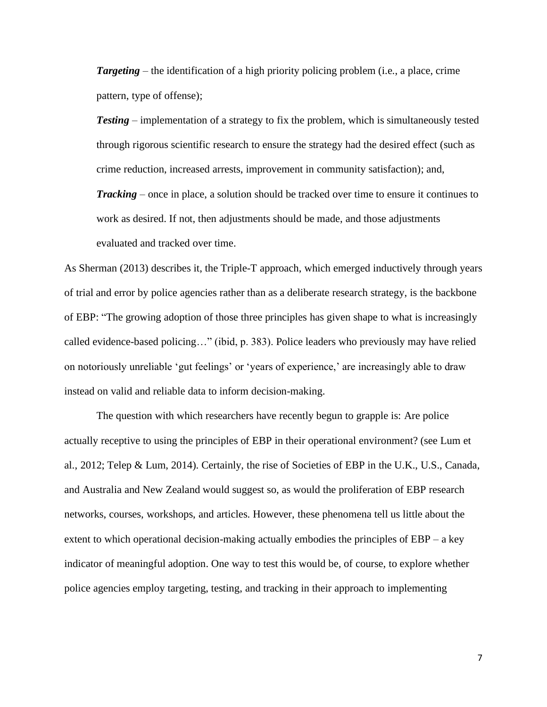*Targeting* – the identification of a high priority policing problem (i.e., a place, crime pattern, type of offense);

*Testing* – implementation of a strategy to fix the problem, which is simultaneously tested through rigorous scientific research to ensure the strategy had the desired effect (such as crime reduction, increased arrests, improvement in community satisfaction); and,

*Tracking* – once in place, a solution should be tracked over time to ensure it continues to work as desired. If not, then adjustments should be made, and those adjustments evaluated and tracked over time.

As Sherman (2013) describes it, the Triple-T approach, which emerged inductively through years of trial and error by police agencies rather than as a deliberate research strategy, is the backbone of EBP: "The growing adoption of those three principles has given shape to what is increasingly called evidence-based policing…" (ibid, p. 383). Police leaders who previously may have relied on notoriously unreliable 'gut feelings' or 'years of experience,' are increasingly able to draw instead on valid and reliable data to inform decision-making.

The question with which researchers have recently begun to grapple is: Are police actually receptive to using the principles of EBP in their operational environment? (see Lum et al., 2012; Telep & Lum, 2014). Certainly, the rise of Societies of EBP in the U.K., U.S., Canada, and Australia and New Zealand would suggest so, as would the proliferation of EBP research networks, courses, workshops, and articles. However, these phenomena tell us little about the extent to which operational decision-making actually embodies the principles of EBP – a key indicator of meaningful adoption. One way to test this would be, of course, to explore whether police agencies employ targeting, testing, and tracking in their approach to implementing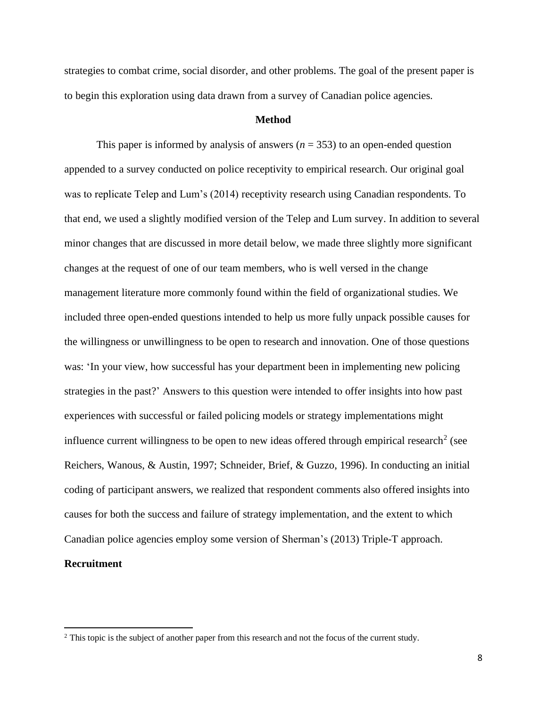strategies to combat crime, social disorder, and other problems. The goal of the present paper is to begin this exploration using data drawn from a survey of Canadian police agencies.

#### **Method**

This paper is informed by analysis of answers  $(n = 353)$  to an open-ended question appended to a survey conducted on police receptivity to empirical research. Our original goal was to replicate Telep and Lum's (2014) receptivity research using Canadian respondents. To that end, we used a slightly modified version of the Telep and Lum survey. In addition to several minor changes that are discussed in more detail below, we made three slightly more significant changes at the request of one of our team members, who is well versed in the change management literature more commonly found within the field of organizational studies. We included three open-ended questions intended to help us more fully unpack possible causes for the willingness or unwillingness to be open to research and innovation. One of those questions was: 'In your view, how successful has your department been in implementing new policing strategies in the past?' Answers to this question were intended to offer insights into how past experiences with successful or failed policing models or strategy implementations might influence current willingness to be open to new ideas offered through empirical research<sup>2</sup> (see Reichers, Wanous, & Austin, 1997; Schneider, Brief, & Guzzo, 1996). In conducting an initial coding of participant answers, we realized that respondent comments also offered insights into causes for both the success and failure of strategy implementation, and the extent to which Canadian police agencies employ some version of Sherman's (2013) Triple-T approach.

## **Recruitment**

<sup>&</sup>lt;sup>2</sup> This topic is the subject of another paper from this research and not the focus of the current study.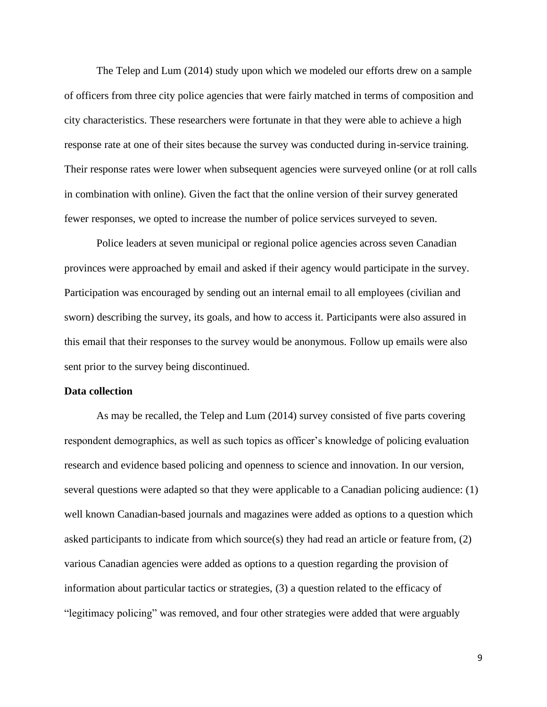The Telep and Lum (2014) study upon which we modeled our efforts drew on a sample of officers from three city police agencies that were fairly matched in terms of composition and city characteristics. These researchers were fortunate in that they were able to achieve a high response rate at one of their sites because the survey was conducted during in-service training. Their response rates were lower when subsequent agencies were surveyed online (or at roll calls in combination with online). Given the fact that the online version of their survey generated fewer responses, we opted to increase the number of police services surveyed to seven.

Police leaders at seven municipal or regional police agencies across seven Canadian provinces were approached by email and asked if their agency would participate in the survey. Participation was encouraged by sending out an internal email to all employees (civilian and sworn) describing the survey, its goals, and how to access it. Participants were also assured in this email that their responses to the survey would be anonymous. Follow up emails were also sent prior to the survey being discontinued.

#### **Data collection**

As may be recalled, the Telep and Lum (2014) survey consisted of five parts covering respondent demographics, as well as such topics as officer's knowledge of policing evaluation research and evidence based policing and openness to science and innovation. In our version, several questions were adapted so that they were applicable to a Canadian policing audience: (1) well known Canadian-based journals and magazines were added as options to a question which asked participants to indicate from which source(s) they had read an article or feature from, (2) various Canadian agencies were added as options to a question regarding the provision of information about particular tactics or strategies, (3) a question related to the efficacy of "legitimacy policing" was removed, and four other strategies were added that were arguably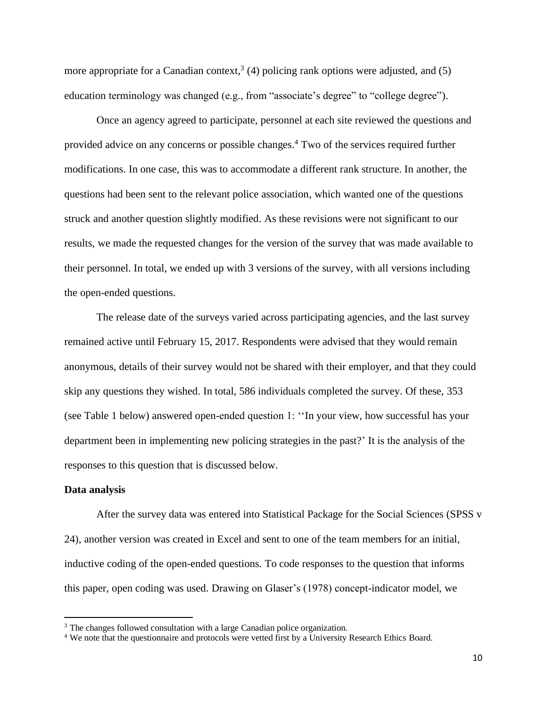more appropriate for a Canadian context,<sup>3</sup> (4) policing rank options were adjusted, and (5) education terminology was changed (e.g., from "associate's degree" to "college degree").

Once an agency agreed to participate, personnel at each site reviewed the questions and provided advice on any concerns or possible changes. <sup>4</sup> Two of the services required further modifications. In one case, this was to accommodate a different rank structure. In another, the questions had been sent to the relevant police association, which wanted one of the questions struck and another question slightly modified. As these revisions were not significant to our results, we made the requested changes for the version of the survey that was made available to their personnel. In total, we ended up with 3 versions of the survey, with all versions including the open-ended questions.

The release date of the surveys varied across participating agencies, and the last survey remained active until February 15, 2017. Respondents were advised that they would remain anonymous, details of their survey would not be shared with their employer, and that they could skip any questions they wished. In total, 586 individuals completed the survey. Of these, 353 (see Table 1 below) answered open-ended question 1: ''In your view, how successful has your department been in implementing new policing strategies in the past?' It is the analysis of the responses to this question that is discussed below.

#### **Data analysis**

After the survey data was entered into Statistical Package for the Social Sciences (SPSS v 24), another version was created in Excel and sent to one of the team members for an initial, inductive coding of the open-ended questions. To code responses to the question that informs this paper, open coding was used. Drawing on Glaser's (1978) concept-indicator model, we

<sup>&</sup>lt;sup>3</sup> The changes followed consultation with a large Canadian police organization.

<sup>&</sup>lt;sup>4</sup> We note that the questionnaire and protocols were vetted first by a University Research Ethics Board.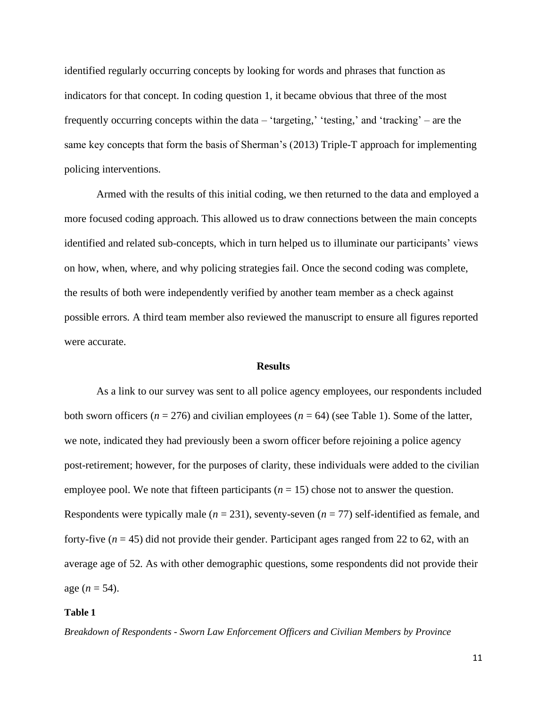identified regularly occurring concepts by looking for words and phrases that function as indicators for that concept. In coding question 1, it became obvious that three of the most frequently occurring concepts within the data – 'targeting,' 'testing,' and 'tracking' – are the same key concepts that form the basis of Sherman's (2013) Triple-T approach for implementing policing interventions.

Armed with the results of this initial coding, we then returned to the data and employed a more focused coding approach. This allowed us to draw connections between the main concepts identified and related sub-concepts, which in turn helped us to illuminate our participants' views on how, when, where, and why policing strategies fail. Once the second coding was complete, the results of both were independently verified by another team member as a check against possible errors. A third team member also reviewed the manuscript to ensure all figures reported were accurate.

#### **Results**

As a link to our survey was sent to all police agency employees, our respondents included both sworn officers ( $n = 276$ ) and civilian employees ( $n = 64$ ) (see Table 1). Some of the latter, we note, indicated they had previously been a sworn officer before rejoining a police agency post-retirement; however, for the purposes of clarity, these individuals were added to the civilian employee pool. We note that fifteen participants  $(n = 15)$  chose not to answer the question. Respondents were typically male (*n* = 231), seventy-seven (*n* = 77) self-identified as female, and forty-five  $(n = 45)$  did not provide their gender. Participant ages ranged from 22 to 62, with an average age of 52. As with other demographic questions, some respondents did not provide their age  $(n = 54)$ .

#### **Table 1**

*Breakdown of Respondents - Sworn Law Enforcement Officers and Civilian Members by Province*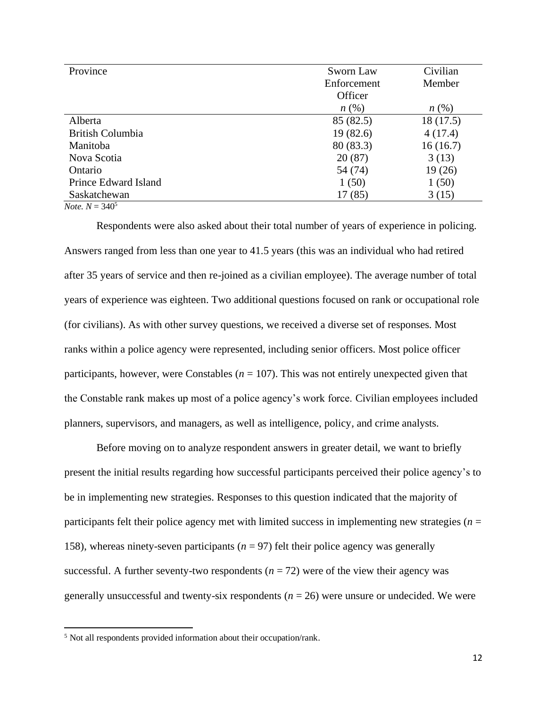| Province                | Sworn Law   | Civilian  |
|-------------------------|-------------|-----------|
|                         | Enforcement | Member    |
|                         | Officer     |           |
|                         | n(%)        | n(%)      |
| Alberta                 | 85 (82.5)   | 18 (17.5) |
| <b>British Columbia</b> | 19(82.6)    | 4(17.4)   |
| Manitoba                | 80 (83.3)   | 16(16.7)  |
| Nova Scotia             | 20(87)      | 3(13)     |
| Ontario                 | 54 (74)     | 19(26)    |
| Prince Edward Island    | 1(50)       | 1(50)     |
| Saskatchewan            | 17 (85)     | 3(15)     |

*Note. N* = 340<sup>5</sup>

Respondents were also asked about their total number of years of experience in policing. Answers ranged from less than one year to 41.5 years (this was an individual who had retired after 35 years of service and then re-joined as a civilian employee). The average number of total years of experience was eighteen. Two additional questions focused on rank or occupational role (for civilians). As with other survey questions, we received a diverse set of responses. Most ranks within a police agency were represented, including senior officers. Most police officer participants, however, were Constables ( $n = 107$ ). This was not entirely unexpected given that the Constable rank makes up most of a police agency's work force. Civilian employees included planners, supervisors, and managers, as well as intelligence, policy, and crime analysts.

Before moving on to analyze respondent answers in greater detail, we want to briefly present the initial results regarding how successful participants perceived their police agency's to be in implementing new strategies. Responses to this question indicated that the majority of participants felt their police agency met with limited success in implementing new strategies (*n* = 158), whereas ninety-seven participants ( $n = 97$ ) felt their police agency was generally successful. A further seventy-two respondents  $(n = 72)$  were of the view their agency was generally unsuccessful and twenty-six respondents (*n* = 26) were unsure or undecided. We were

<sup>5</sup> Not all respondents provided information about their occupation/rank.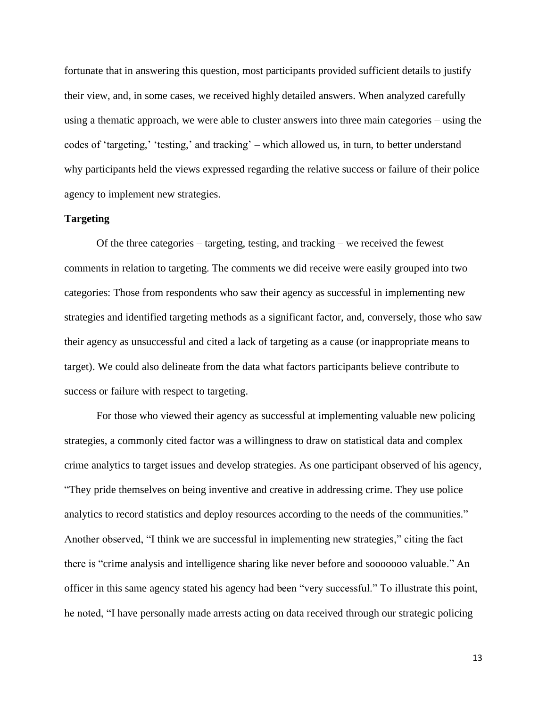fortunate that in answering this question, most participants provided sufficient details to justify their view, and, in some cases, we received highly detailed answers. When analyzed carefully using a thematic approach, we were able to cluster answers into three main categories – using the codes of 'targeting,' 'testing,' and tracking' – which allowed us, in turn, to better understand why participants held the views expressed regarding the relative success or failure of their police agency to implement new strategies.

## **Targeting**

Of the three categories – targeting, testing, and tracking – we received the fewest comments in relation to targeting. The comments we did receive were easily grouped into two categories: Those from respondents who saw their agency as successful in implementing new strategies and identified targeting methods as a significant factor, and, conversely, those who saw their agency as unsuccessful and cited a lack of targeting as a cause (or inappropriate means to target). We could also delineate from the data what factors participants believe contribute to success or failure with respect to targeting.

For those who viewed their agency as successful at implementing valuable new policing strategies, a commonly cited factor was a willingness to draw on statistical data and complex crime analytics to target issues and develop strategies. As one participant observed of his agency, "They pride themselves on being inventive and creative in addressing crime. They use police analytics to record statistics and deploy resources according to the needs of the communities." Another observed, "I think we are successful in implementing new strategies," citing the fact there is "crime analysis and intelligence sharing like never before and sooooooo valuable." An officer in this same agency stated his agency had been "very successful." To illustrate this point, he noted, "I have personally made arrests acting on data received through our strategic policing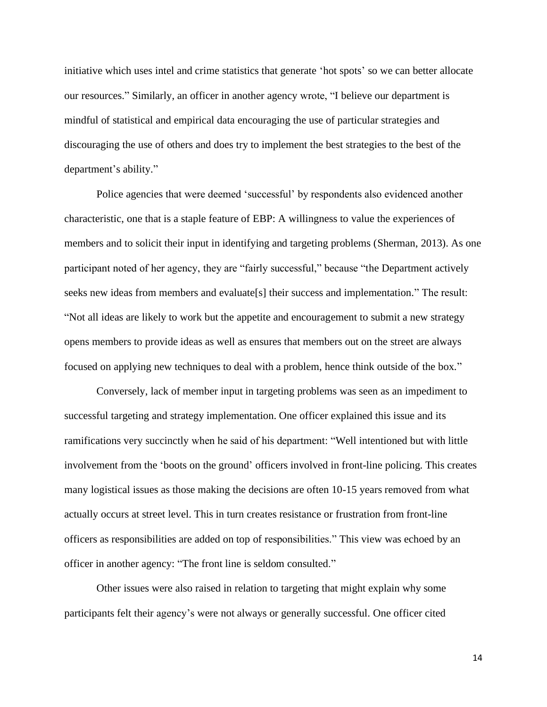initiative which uses intel and crime statistics that generate 'hot spots' so we can better allocate our resources." Similarly, an officer in another agency wrote, "I believe our department is mindful of statistical and empirical data encouraging the use of particular strategies and discouraging the use of others and does try to implement the best strategies to the best of the department's ability."

Police agencies that were deemed 'successful' by respondents also evidenced another characteristic, one that is a staple feature of EBP: A willingness to value the experiences of members and to solicit their input in identifying and targeting problems (Sherman, 2013). As one participant noted of her agency, they are "fairly successful," because "the Department actively seeks new ideas from members and evaluate[s] their success and implementation." The result: "Not all ideas are likely to work but the appetite and encouragement to submit a new strategy opens members to provide ideas as well as ensures that members out on the street are always focused on applying new techniques to deal with a problem, hence think outside of the box."

Conversely, lack of member input in targeting problems was seen as an impediment to successful targeting and strategy implementation. One officer explained this issue and its ramifications very succinctly when he said of his department: "Well intentioned but with little involvement from the 'boots on the ground' officers involved in front-line policing. This creates many logistical issues as those making the decisions are often 10-15 years removed from what actually occurs at street level. This in turn creates resistance or frustration from front-line officers as responsibilities are added on top of responsibilities." This view was echoed by an officer in another agency: "The front line is seldom consulted."

Other issues were also raised in relation to targeting that might explain why some participants felt their agency's were not always or generally successful. One officer cited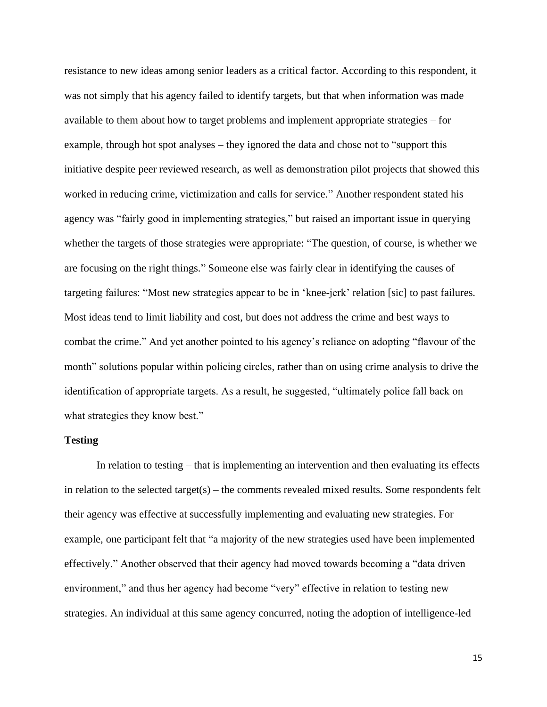resistance to new ideas among senior leaders as a critical factor. According to this respondent, it was not simply that his agency failed to identify targets, but that when information was made available to them about how to target problems and implement appropriate strategies – for example, through hot spot analyses – they ignored the data and chose not to "support this initiative despite peer reviewed research, as well as demonstration pilot projects that showed this worked in reducing crime, victimization and calls for service." Another respondent stated his agency was "fairly good in implementing strategies," but raised an important issue in querying whether the targets of those strategies were appropriate: "The question, of course, is whether we are focusing on the right things." Someone else was fairly clear in identifying the causes of targeting failures: "Most new strategies appear to be in 'knee-jerk' relation [sic] to past failures. Most ideas tend to limit liability and cost, but does not address the crime and best ways to combat the crime." And yet another pointed to his agency's reliance on adopting "flavour of the month" solutions popular within policing circles, rather than on using crime analysis to drive the identification of appropriate targets. As a result, he suggested, "ultimately police fall back on what strategies they know best."

## **Testing**

In relation to testing – that is implementing an intervention and then evaluating its effects in relation to the selected target(s) – the comments revealed mixed results. Some respondents felt their agency was effective at successfully implementing and evaluating new strategies. For example, one participant felt that "a majority of the new strategies used have been implemented effectively." Another observed that their agency had moved towards becoming a "data driven environment," and thus her agency had become "very" effective in relation to testing new strategies. An individual at this same agency concurred, noting the adoption of intelligence-led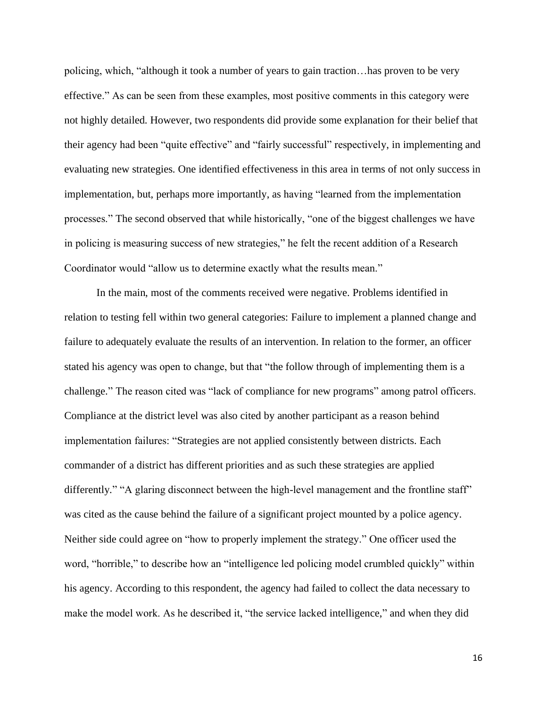policing, which, "although it took a number of years to gain traction…has proven to be very effective." As can be seen from these examples, most positive comments in this category were not highly detailed. However, two respondents did provide some explanation for their belief that their agency had been "quite effective" and "fairly successful" respectively, in implementing and evaluating new strategies. One identified effectiveness in this area in terms of not only success in implementation, but, perhaps more importantly, as having "learned from the implementation processes." The second observed that while historically, "one of the biggest challenges we have in policing is measuring success of new strategies," he felt the recent addition of a Research Coordinator would "allow us to determine exactly what the results mean."

In the main, most of the comments received were negative. Problems identified in relation to testing fell within two general categories: Failure to implement a planned change and failure to adequately evaluate the results of an intervention. In relation to the former, an officer stated his agency was open to change, but that "the follow through of implementing them is a challenge." The reason cited was "lack of compliance for new programs" among patrol officers. Compliance at the district level was also cited by another participant as a reason behind implementation failures: "Strategies are not applied consistently between districts. Each commander of a district has different priorities and as such these strategies are applied differently." "A glaring disconnect between the high-level management and the frontline staff" was cited as the cause behind the failure of a significant project mounted by a police agency. Neither side could agree on "how to properly implement the strategy." One officer used the word, "horrible," to describe how an "intelligence led policing model crumbled quickly" within his agency. According to this respondent, the agency had failed to collect the data necessary to make the model work. As he described it, "the service lacked intelligence," and when they did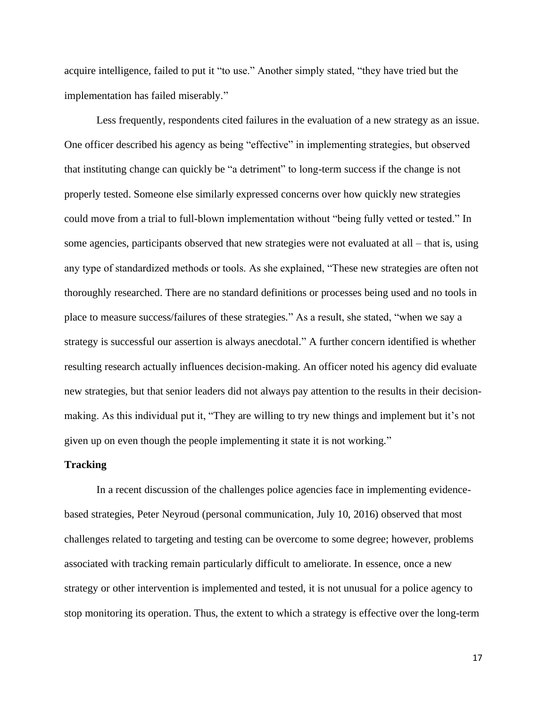acquire intelligence, failed to put it "to use." Another simply stated, "they have tried but the implementation has failed miserably."

Less frequently, respondents cited failures in the evaluation of a new strategy as an issue. One officer described his agency as being "effective" in implementing strategies, but observed that instituting change can quickly be "a detriment" to long-term success if the change is not properly tested. Someone else similarly expressed concerns over how quickly new strategies could move from a trial to full-blown implementation without "being fully vetted or tested." In some agencies, participants observed that new strategies were not evaluated at all – that is, using any type of standardized methods or tools. As she explained, "These new strategies are often not thoroughly researched. There are no standard definitions or processes being used and no tools in place to measure success/failures of these strategies." As a result, she stated, "when we say a strategy is successful our assertion is always anecdotal." A further concern identified is whether resulting research actually influences decision-making. An officer noted his agency did evaluate new strategies, but that senior leaders did not always pay attention to the results in their decisionmaking. As this individual put it, "They are willing to try new things and implement but it's not given up on even though the people implementing it state it is not working."

#### **Tracking**

In a recent discussion of the challenges police agencies face in implementing evidencebased strategies, Peter Neyroud (personal communication, July 10, 2016) observed that most challenges related to targeting and testing can be overcome to some degree; however, problems associated with tracking remain particularly difficult to ameliorate. In essence, once a new strategy or other intervention is implemented and tested, it is not unusual for a police agency to stop monitoring its operation. Thus, the extent to which a strategy is effective over the long-term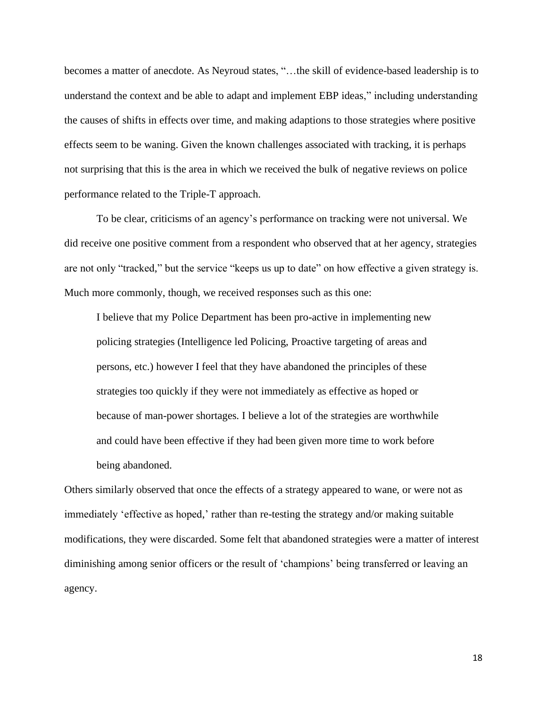becomes a matter of anecdote. As Neyroud states, "…the skill of evidence-based leadership is to understand the context and be able to adapt and implement EBP ideas," including understanding the causes of shifts in effects over time, and making adaptions to those strategies where positive effects seem to be waning. Given the known challenges associated with tracking, it is perhaps not surprising that this is the area in which we received the bulk of negative reviews on police performance related to the Triple-T approach.

To be clear, criticisms of an agency's performance on tracking were not universal. We did receive one positive comment from a respondent who observed that at her agency, strategies are not only "tracked," but the service "keeps us up to date" on how effective a given strategy is. Much more commonly, though, we received responses such as this one:

I believe that my Police Department has been pro-active in implementing new policing strategies (Intelligence led Policing, Proactive targeting of areas and persons, etc.) however I feel that they have abandoned the principles of these strategies too quickly if they were not immediately as effective as hoped or because of man-power shortages. I believe a lot of the strategies are worthwhile and could have been effective if they had been given more time to work before being abandoned.

Others similarly observed that once the effects of a strategy appeared to wane, or were not as immediately 'effective as hoped,' rather than re-testing the strategy and/or making suitable modifications, they were discarded. Some felt that abandoned strategies were a matter of interest diminishing among senior officers or the result of 'champions' being transferred or leaving an agency.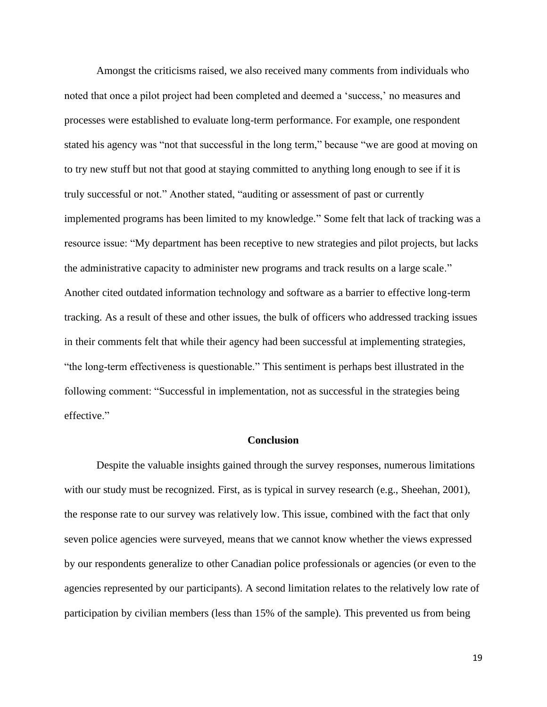Amongst the criticisms raised, we also received many comments from individuals who noted that once a pilot project had been completed and deemed a 'success,' no measures and processes were established to evaluate long-term performance. For example, one respondent stated his agency was "not that successful in the long term," because "we are good at moving on to try new stuff but not that good at staying committed to anything long enough to see if it is truly successful or not." Another stated, "auditing or assessment of past or currently implemented programs has been limited to my knowledge." Some felt that lack of tracking was a resource issue: "My department has been receptive to new strategies and pilot projects, but lacks the administrative capacity to administer new programs and track results on a large scale." Another cited outdated information technology and software as a barrier to effective long-term tracking. As a result of these and other issues, the bulk of officers who addressed tracking issues in their comments felt that while their agency had been successful at implementing strategies, "the long-term effectiveness is questionable." This sentiment is perhaps best illustrated in the following comment: "Successful in implementation, not as successful in the strategies being effective."

## **Conclusion**

Despite the valuable insights gained through the survey responses, numerous limitations with our study must be recognized. First, as is typical in survey research (e.g., Sheehan, 2001), the response rate to our survey was relatively low. This issue, combined with the fact that only seven police agencies were surveyed, means that we cannot know whether the views expressed by our respondents generalize to other Canadian police professionals or agencies (or even to the agencies represented by our participants). A second limitation relates to the relatively low rate of participation by civilian members (less than 15% of the sample). This prevented us from being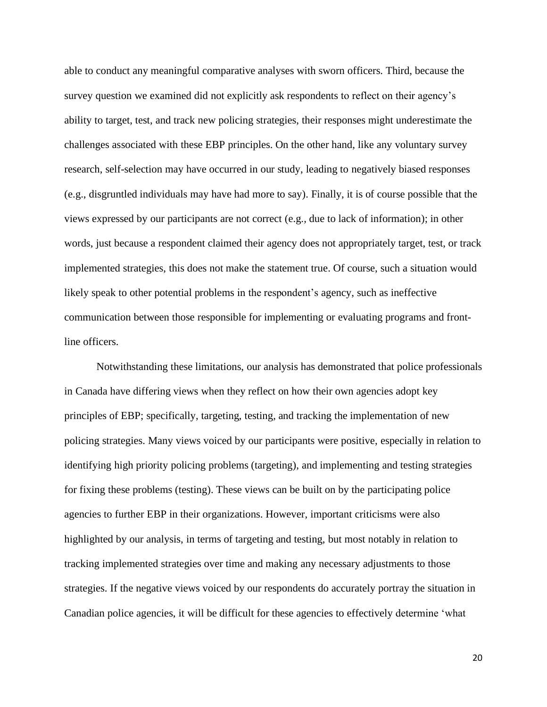able to conduct any meaningful comparative analyses with sworn officers. Third, because the survey question we examined did not explicitly ask respondents to reflect on their agency's ability to target, test, and track new policing strategies, their responses might underestimate the challenges associated with these EBP principles. On the other hand, like any voluntary survey research, self-selection may have occurred in our study, leading to negatively biased responses (e.g., disgruntled individuals may have had more to say). Finally, it is of course possible that the views expressed by our participants are not correct (e.g., due to lack of information); in other words, just because a respondent claimed their agency does not appropriately target, test, or track implemented strategies, this does not make the statement true. Of course, such a situation would likely speak to other potential problems in the respondent's agency, such as ineffective communication between those responsible for implementing or evaluating programs and frontline officers.

Notwithstanding these limitations, our analysis has demonstrated that police professionals in Canada have differing views when they reflect on how their own agencies adopt key principles of EBP; specifically, targeting, testing, and tracking the implementation of new policing strategies. Many views voiced by our participants were positive, especially in relation to identifying high priority policing problems (targeting), and implementing and testing strategies for fixing these problems (testing). These views can be built on by the participating police agencies to further EBP in their organizations. However, important criticisms were also highlighted by our analysis, in terms of targeting and testing, but most notably in relation to tracking implemented strategies over time and making any necessary adjustments to those strategies. If the negative views voiced by our respondents do accurately portray the situation in Canadian police agencies, it will be difficult for these agencies to effectively determine 'what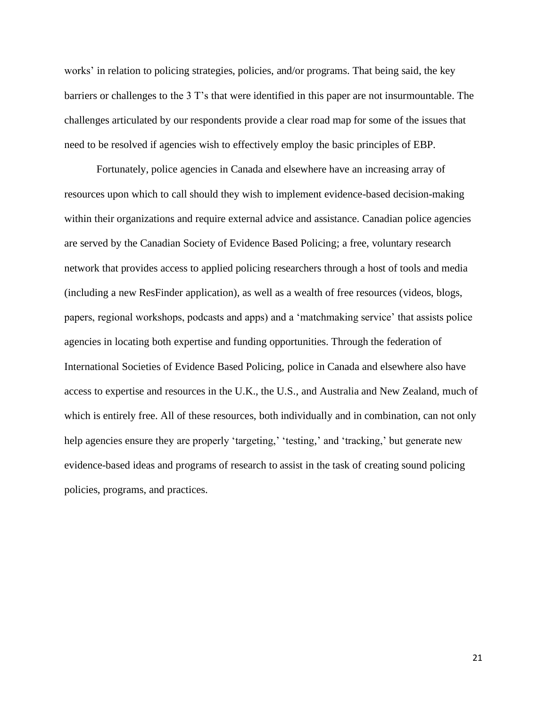works' in relation to policing strategies, policies, and/or programs. That being said, the key barriers or challenges to the 3 T's that were identified in this paper are not insurmountable. The challenges articulated by our respondents provide a clear road map for some of the issues that need to be resolved if agencies wish to effectively employ the basic principles of EBP.

Fortunately, police agencies in Canada and elsewhere have an increasing array of resources upon which to call should they wish to implement evidence-based decision-making within their organizations and require external advice and assistance. Canadian police agencies are served by the Canadian Society of Evidence Based Policing; a free, voluntary research network that provides access to applied policing researchers through a host of tools and media (including a new ResFinder application), as well as a wealth of free resources (videos, blogs, papers, regional workshops, podcasts and apps) and a 'matchmaking service' that assists police agencies in locating both expertise and funding opportunities. Through the federation of International Societies of Evidence Based Policing, police in Canada and elsewhere also have access to expertise and resources in the U.K., the U.S., and Australia and New Zealand, much of which is entirely free. All of these resources, both individually and in combination, can not only help agencies ensure they are properly 'targeting,' 'testing,' and 'tracking,' but generate new evidence-based ideas and programs of research to assist in the task of creating sound policing policies, programs, and practices.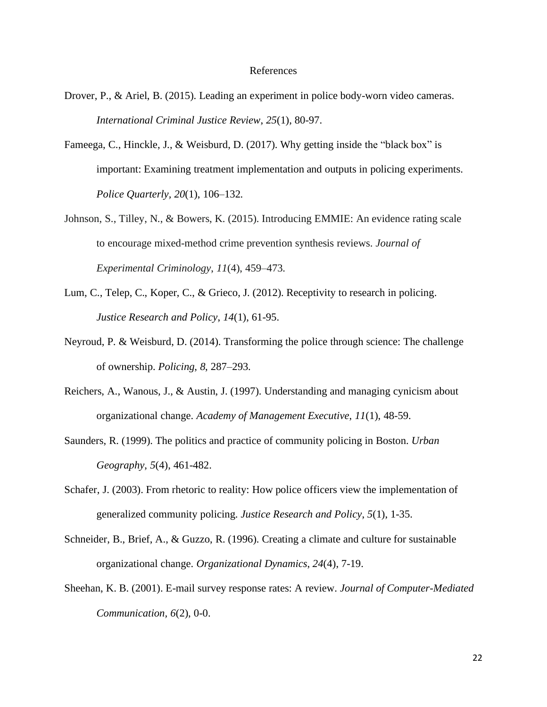#### References

- Drover, P., & Ariel, B. (2015). Leading an experiment in police body-worn video cameras. *International Criminal Justice Review*, *25*(1), 80-97.
- Fameega, C., Hinckle, J., & Weisburd, D. (2017). Why getting inside the "black box" is important: Examining treatment implementation and outputs in policing experiments. *Police Quarterly, 20*(1), 106–132.
- Johnson, S., Tilley, N., & Bowers, K. (2015). Introducing EMMIE: An evidence rating scale to encourage mixed-method crime prevention synthesis reviews. *Journal of Experimental Criminology*, *11*(4), 459–473.
- Lum, C., Telep, C., Koper, C., & Grieco, J. (2012). Receptivity to research in policing. *Justice Research and Policy*, *14*(1), 61-95.
- Neyroud, P. & Weisburd, D. (2014). Transforming the police through science: The challenge of ownership. *Policing*, *8*, 287–293.
- Reichers, A., Wanous, J., & Austin, J. (1997). Understanding and managing cynicism about organizational change. *Academy of Management Executive*, *11*(1), 48-59.
- Saunders, R. (1999). The politics and practice of community policing in Boston. *Urban Geography*, *5*(4), 461-482.
- Schafer, J. (2003). From rhetoric to reality: How police officers view the implementation of generalized community policing. *Justice Research and Policy*, *5*(1), 1-35.
- Schneider, B., Brief, A., & Guzzo, R. (1996). Creating a climate and culture for sustainable organizational change. *Organizational Dynamics*, *24*(4), 7-19.
- Sheehan, K. B. (2001). E-mail survey response rates: A review. *Journal of Computer-Mediated Communication, 6*(2), 0-0.